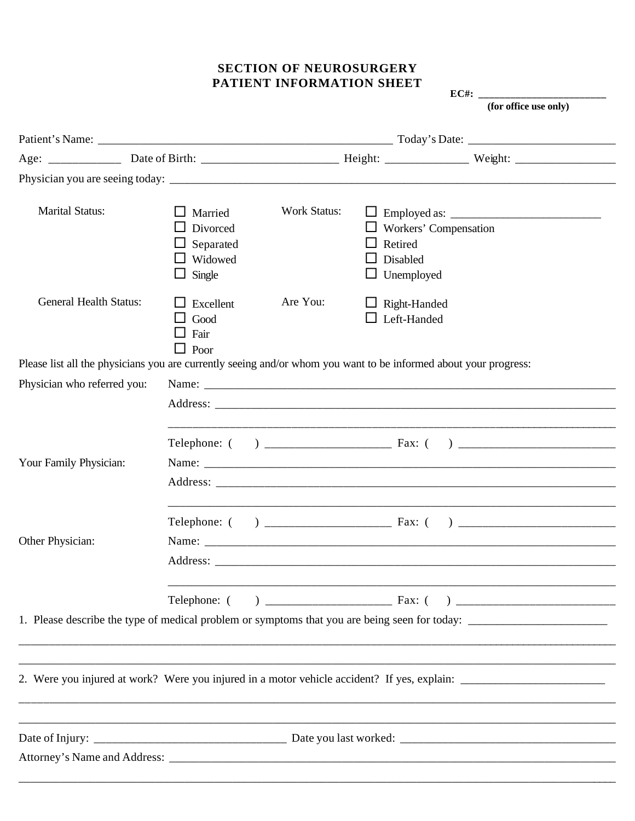### **SECTION OF NEUROSURGERY** PATIENT INFORMATION SHEET

EC#:  $_{-}$ (for office use only)

| <b>Marital Status:</b>        | Married<br>Divorced<br>Separated<br>Widowed<br>$\Box$ Single | <b>Work Status:</b> | Retired<br>Disabled<br>$\Box$ Unemployed  | $\Box$ Workers' Compensation                                                                                     |  |
|-------------------------------|--------------------------------------------------------------|---------------------|-------------------------------------------|------------------------------------------------------------------------------------------------------------------|--|
| <b>General Health Status:</b> | $\Box$ Excellent<br>Good<br>Fair<br>$\Box$ Poor              | Are You:            | $\Box$ Right-Handed<br>$\Box$ Left-Handed |                                                                                                                  |  |
|                               |                                                              |                     |                                           | Please list all the physicians you are currently seeing and/or whom you want to be informed about your progress: |  |
| Physician who referred you:   |                                                              |                     |                                           |                                                                                                                  |  |
|                               |                                                              |                     |                                           |                                                                                                                  |  |
| Your Family Physician:        |                                                              |                     |                                           |                                                                                                                  |  |
| Other Physician:              |                                                              |                     |                                           |                                                                                                                  |  |
|                               |                                                              |                     |                                           |                                                                                                                  |  |
|                               |                                                              |                     |                                           |                                                                                                                  |  |
|                               |                                                              |                     |                                           |                                                                                                                  |  |
|                               |                                                              |                     |                                           |                                                                                                                  |  |
|                               |                                                              |                     |                                           |                                                                                                                  |  |
|                               |                                                              |                     |                                           |                                                                                                                  |  |
|                               |                                                              |                     |                                           |                                                                                                                  |  |
|                               |                                                              |                     |                                           |                                                                                                                  |  |
|                               |                                                              |                     |                                           |                                                                                                                  |  |
|                               |                                                              |                     |                                           |                                                                                                                  |  |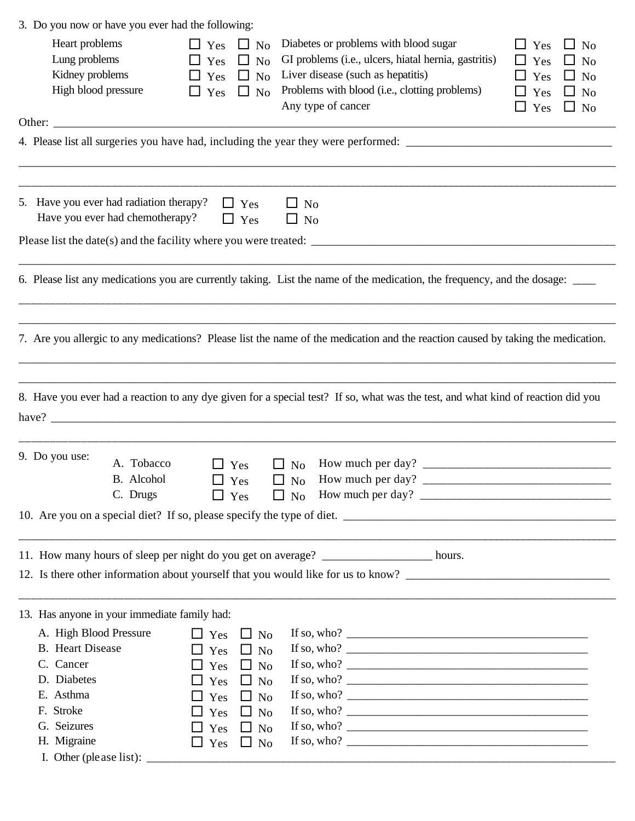| 3. Do you now or have you ever had the following: |                                       |                          |           |                        |                                                                                                                                  |                         |  |
|---------------------------------------------------|---------------------------------------|--------------------------|-----------|------------------------|----------------------------------------------------------------------------------------------------------------------------------|-------------------------|--|
| Heart problems                                    |                                       | $\Box$ Yes               | $\Box$ No |                        | Diabetes or problems with blood sugar                                                                                            | $\Box$ Yes<br>$\Box$ No |  |
| Lung problems                                     |                                       | $\Box$ Yes               | $\Box$ No |                        | GI problems (i.e., ulcers, hiatal hernia, gastritis)                                                                             | $\Box$ Yes<br>$\Box$ No |  |
| Kidney problems                                   |                                       | $\Box$ Yes $\Box$ No     |           |                        | Liver disease (such as hepatitis)                                                                                                | $\Box$ Yes<br>$\Box$ No |  |
| High blood pressure                               |                                       | $\Box$ Yes               | $\Box$ No | Any type of cancer     | Problems with blood (i.e., clotting problems)                                                                                    | $\Box$ Yes<br>$\Box$ No |  |
|                                                   |                                       |                          |           |                        |                                                                                                                                  | $\Box$ Yes<br>$\Box$ No |  |
|                                                   |                                       |                          |           |                        |                                                                                                                                  |                         |  |
|                                                   |                                       |                          |           |                        |                                                                                                                                  |                         |  |
| 5. Have you ever had radiation therapy?           | Have you ever had chemotherapy?       | $\Box$ Yes<br>$\Box$ Yes |           | $\Box$ No<br>$\Box$ No |                                                                                                                                  |                         |  |
|                                                   |                                       |                          |           |                        |                                                                                                                                  |                         |  |
|                                                   |                                       |                          |           |                        | 6. Please list any medications you are currently taking. List the name of the medication, the frequency, and the dosage:         |                         |  |
|                                                   |                                       |                          |           |                        |                                                                                                                                  |                         |  |
|                                                   |                                       |                          |           |                        | 7. Are you allergic to any medications? Please list the name of the medication and the reaction caused by taking the medication. |                         |  |
|                                                   |                                       |                          |           |                        |                                                                                                                                  |                         |  |
|                                                   |                                       |                          |           |                        | 8. Have you ever had a reaction to any dye given for a special test? If so, what was the test, and what kind of reaction did you |                         |  |
|                                                   |                                       |                          |           |                        |                                                                                                                                  |                         |  |
|                                                   |                                       |                          |           |                        |                                                                                                                                  |                         |  |
| 9. Do you use:                                    | A. Tobacco                            | $\Box$ Yes               |           | $\Box$ No              |                                                                                                                                  |                         |  |
|                                                   | B. Alcohol                            | Yes                      |           | No<br>ப                | How much per day?                                                                                                                |                         |  |
|                                                   | C. Drugs                              | $\Box$ Yes               |           |                        |                                                                                                                                  |                         |  |
|                                                   |                                       |                          |           |                        |                                                                                                                                  |                         |  |
|                                                   |                                       |                          |           |                        |                                                                                                                                  |                         |  |
|                                                   |                                       |                          |           |                        | 11. How many hours of sleep per night do you get on average? __________________ hours.                                           |                         |  |
|                                                   |                                       |                          |           |                        |                                                                                                                                  |                         |  |
| 13. Has anyone in your immediate family had:      |                                       |                          |           |                        |                                                                                                                                  |                         |  |
| A. High Blood Pressure                            |                                       | $\Box$ Yes $\Box$ No     |           |                        | If so, who? $\overline{\qquad \qquad }$                                                                                          |                         |  |
| <b>B.</b> Heart Disease                           |                                       | $\Box$ Yes               | $\Box$ No |                        |                                                                                                                                  |                         |  |
| C. Cancer                                         |                                       | $\Box$ Yes $\Box$ No     |           |                        |                                                                                                                                  |                         |  |
| D. Diabetes                                       |                                       | $\Box$ Yes               | $\Box$ No |                        |                                                                                                                                  |                         |  |
| E. Asthma                                         |                                       | $\Box$ Yes               | $\Box$ No |                        |                                                                                                                                  |                         |  |
| F. Stroke                                         |                                       | $\Box$ Yes               | $\Box$ No |                        |                                                                                                                                  |                         |  |
| G. Seizures                                       |                                       | $\Box$ Yes               | $\Box$ No |                        |                                                                                                                                  |                         |  |
| H. Migraine                                       |                                       | $\Box$ Yes               | $\Box$ No |                        |                                                                                                                                  |                         |  |
|                                                   | I. Other (please list): $\frac{ }{ }$ |                          |           |                        |                                                                                                                                  |                         |  |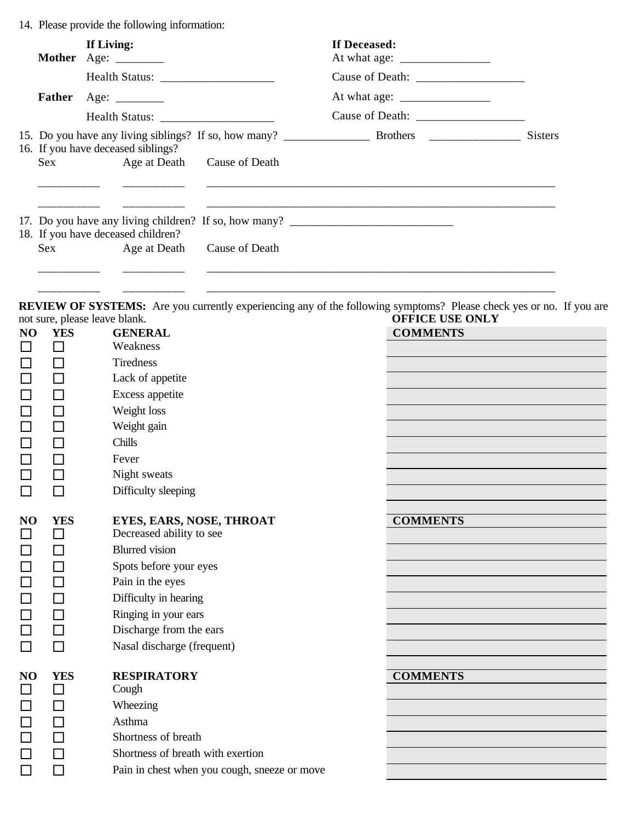14. Please provide the following information:

| Mother Age: ________ |                                                                       | If Living: |                                    |                                 | At what age: $\frac{1}{\sqrt{1-\frac{1}{2}} \cdot \frac{1}{2}}$ |  |
|----------------------|-----------------------------------------------------------------------|------------|------------------------------------|---------------------------------|-----------------------------------------------------------------|--|
|                      |                                                                       |            |                                    |                                 |                                                                 |  |
|                      | Father                                                                |            |                                    |                                 | At what age: $\frac{1}{\sqrt{1-\frac{1}{2}} \cdot \frac{1}{2}}$ |  |
|                      |                                                                       |            |                                    |                                 |                                                                 |  |
|                      | 16. If you have deceased siblings?<br>Sex Age at Death Cause of Death |            |                                    |                                 | <b>Sisters</b>                                                  |  |
|                      |                                                                       |            | 18. If you have deceased children? |                                 | 17. Do you have any living children? If so, how many?           |  |
|                      |                                                                       |            |                                    | Sex Age at Death Cause of Death |                                                                 |  |

**REVIEW OF SYSTEMS:** Are you currently experiencing any of the following symptoms? Please check yes or no. If you are not sure, please leave blank. **OFFICE USE ONLY** 

\_\_\_\_\_\_\_\_\_\_ \_\_\_\_\_\_\_\_\_\_ \_\_\_\_\_\_\_\_\_\_\_\_\_\_\_\_\_\_\_\_\_\_\_\_\_\_\_\_\_\_\_\_\_\_\_\_\_\_\_\_\_\_\_\_\_\_\_\_\_\_\_\_\_\_\_\_\_\_\_\_

|                | noi sure, picase icave olaim. |                                              | OLLICE COE ONLI |
|----------------|-------------------------------|----------------------------------------------|-----------------|
| NO             | <b>YES</b>                    | <b>GENERAL</b>                               | <b>COMMENTS</b> |
|                | П                             | Weakness                                     |                 |
| □              | $\Box$                        | Tiredness                                    |                 |
| $\Box$         | $\Box$                        | Lack of appetite                             |                 |
| $\Box$         | $\Box$                        | Excess appetite                              |                 |
| $\Box$         | $\Box$                        | Weight loss                                  |                 |
| $\Box$         | $\Box$                        | Weight gain                                  |                 |
| $\Box$         | $\Box$                        | Chills                                       |                 |
| $\Box$         | $\Box$                        | Fever                                        |                 |
| $\Box$         | $\Box$                        | Night sweats                                 |                 |
| □              | П                             | Difficulty sleeping                          |                 |
|                |                               |                                              |                 |
| N <sub>O</sub> | <b>YES</b>                    | EYES, EARS, NOSE, THROAT                     | <b>COMMENTS</b> |
| $\Box$         | □                             | Decreased ability to see                     |                 |
| $\Box$         | □                             | <b>Blurred</b> vision                        |                 |
| $\Box$         | $\Box$                        | Spots before your eyes                       |                 |
| $\Box$         | $\Box$                        | Pain in the eyes                             |                 |
| $\Box$         | П                             | Difficulty in hearing                        |                 |
| $\Box$         | $\Box$                        | Ringing in your ears                         |                 |
| $\Box$         | П                             | Discharge from the ears                      |                 |
| $\Box$         | П                             | Nasal discharge (frequent)                   |                 |
|                |                               |                                              |                 |
| N <sub>O</sub> | <b>YES</b>                    | <b>RESPIRATORY</b>                           | <b>COMMENTS</b> |
| $\Box$         | □                             | Cough                                        |                 |
| $\Box$         | $\Box$                        | Wheezing                                     |                 |
| $\Box$         | $\Box$                        | Asthma                                       |                 |
| $\Box$         | $\Box$                        | Shortness of breath                          |                 |
| $\Box$         | П                             | Shortness of breath with exertion            |                 |
| $\Box$         |                               | Pain in chest when you cough, sneeze or move |                 |
|                |                               |                                              |                 |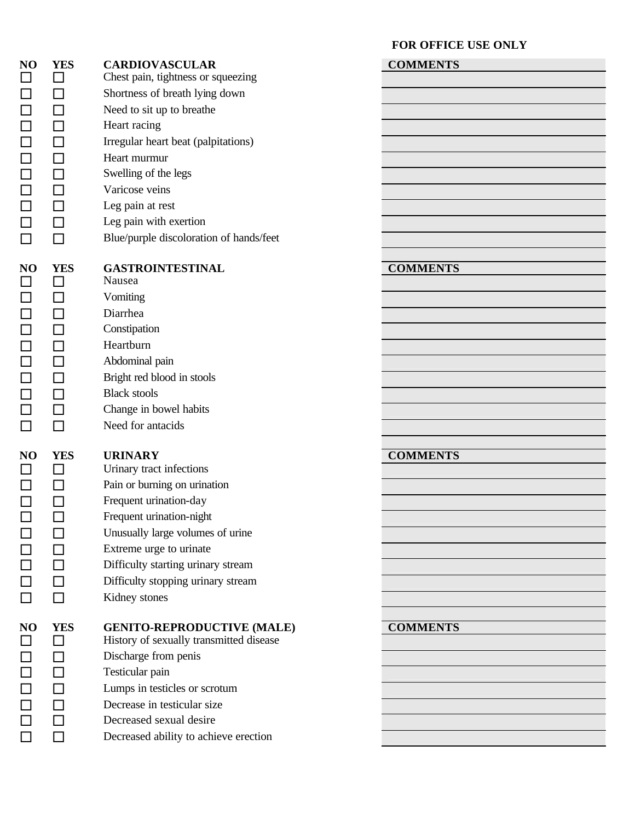$\Box$  Kidney stones

# **NO YES CARDIOVASCULAR COMMENTS**  $\Box$  Chest pain, tightness or squeezing  $\Box$  Shortness of breath lying down  $\Box$  Need to sit up to breathe  $\Box$  Beart racing  $\Box$  Irregular heart beat (palpitations)  $\Box$  Beart murmur  $\Box$  Swelling of the legs  $\Box$  Varicose veins  $\Box$  Leg pain at rest  $\Box$  Leg pain with exertion  $\Box$  Blue/purple discoloration of hands/feet **NO YES GASTROINTESTINAL COMMENTS**  $\Box$  Nausea  $\Box$   $\Box$  Vomiting

- $\Box$  Diarrhea  $\square$   $\square$   $\blacksquare$   $\blacksquare$  $\Box$   $\Box$  Heartburn  $\Box$  Abdominal pain  $\Box$  Bright red blood in stools  $\Box$  Black stools  $\Box$  Change in bowel habits
- $\Box$   $\Box$  Need for antacids

 $\Box$  Urinary tract infections  $\Box$  Pain or burning on urination  $\Box$  Frequent urination-day  $\Box$  Frequent urination-night  $\Box$  Unusually large volumes of urine  $\Box$  Extreme urge to urinate  $\Box$   $\Box$  Difficulty starting urinary stream  $\Box$   $\Box$  Difficulty stopping urinary stream

# **NO YES GENITO-REPRODUCTIVE (MALE) COMMENTS**

- $\Box$  Bistory of sexually transmitted disease  $\Box$   $\Box$  Discharge from penis  $\Box$  Testicular pain  $\Box$   $\Box$  Lumps in testicles or scrotum  $\Box$  Decrease in testicular size
- $\Box$  Decreased sexual desire
- $\Box$   $\Box$  Decreased ability to achieve erection

### **FOR OFFICE USE ONLY**

# **NO YES URINARY COMMENTS**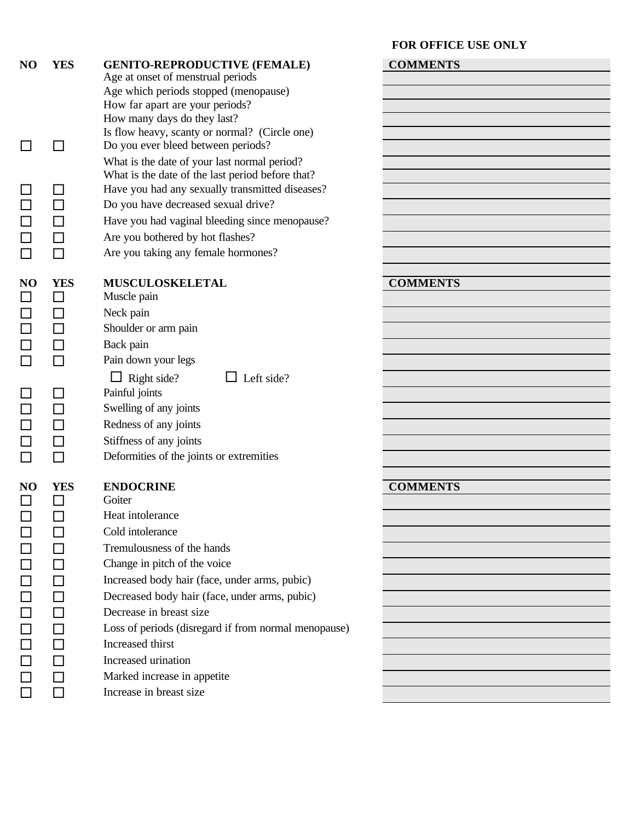**FOR OFFICE USE ONLY**

| N <sub>O</sub> | <b>YES</b>                  | <b>GENITO-REPRODUCTIVE (FEMALE)</b><br>Age at onset of menstrual periods<br>Age which periods stopped (menopause)<br>How far apart are your periods?<br>How many days do they last?<br>Is flow heavy, scanty or normal? (Circle one) | <b>COMMENTS</b> |
|----------------|-----------------------------|--------------------------------------------------------------------------------------------------------------------------------------------------------------------------------------------------------------------------------------|-----------------|
|                |                             | Do you ever bleed between periods?<br>What is the date of your last normal period?<br>What is the date of the last period before that?<br>Have you had any sexually transmitted diseases?                                            |                 |
|                |                             | Do you have decreased sexual drive?<br>Have you had vaginal bleeding since menopause?<br>Are you bothered by hot flashes?                                                                                                            |                 |
|                |                             | Are you taking any female hormones?                                                                                                                                                                                                  |                 |
| NO             | <b>YES</b><br>$\perp$<br>ΙI | <b>MUSCULOSKELETAL</b><br>Muscle pain<br>Neck pain<br>Shoulder or arm pain<br>Back pain                                                                                                                                              | <b>COMMENTS</b> |
|                |                             | Pain down your legs                                                                                                                                                                                                                  |                 |
|                |                             | $\Box$ Right side?<br>$\Box$ Left side?<br>Painful joints<br>Swelling of any joints<br>Redness of any joints<br>Stiffness of any joints<br>Deformities of the joints or extremities                                                  |                 |
| N <sub>O</sub> | <b>YES</b>                  | <b>ENDOCRINE</b>                                                                                                                                                                                                                     | <b>COMMENTS</b> |
|                |                             | Goiter                                                                                                                                                                                                                               |                 |
|                | П                           | Heat intolerance<br>Cold intolerance                                                                                                                                                                                                 |                 |
|                | ΙI                          | Tremulousness of the hands                                                                                                                                                                                                           |                 |
|                | $\Box$                      | Change in pitch of the voice                                                                                                                                                                                                         |                 |
|                |                             | Increased body hair (face, under arms, pubic)<br>Decreased body hair (face, under arms, pubic)                                                                                                                                       |                 |
|                |                             | Decrease in breast size                                                                                                                                                                                                              |                 |
|                |                             | Loss of periods (disregard if from normal menopause)                                                                                                                                                                                 |                 |
|                |                             | Increased thirst                                                                                                                                                                                                                     |                 |
|                |                             | Increased urination                                                                                                                                                                                                                  |                 |
|                |                             | Marked increase in appetite                                                                                                                                                                                                          |                 |
|                | ΙI                          | Increase in breast size                                                                                                                                                                                                              |                 |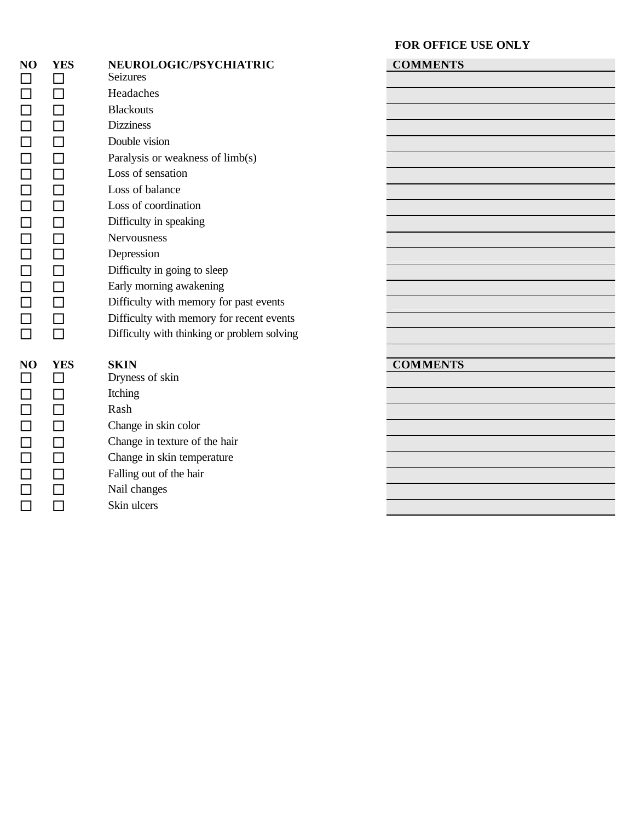|        |            |                                             | FOR OFFICE USE ONLY |
|--------|------------|---------------------------------------------|---------------------|
| NO     | <b>YES</b> | NEUROLOGIC/PSYCHIATRIC                      | <b>COMMENTS</b>     |
| $\Box$ | $\Box$     | <b>Seizures</b>                             |                     |
| $\Box$ | $\Box$     | Headaches                                   |                     |
| $\Box$ | П          | <b>Blackouts</b>                            |                     |
| $\Box$ | П          | <b>Dizziness</b>                            |                     |
| $\Box$ | П          | Double vision                               |                     |
| $\Box$ | $\Box$     | Paralysis or weakness of limb(s)            |                     |
| $\Box$ | П          | Loss of sensation                           |                     |
| $\Box$ | П          | Loss of balance                             |                     |
| $\Box$ | П          | Loss of coordination                        |                     |
| $\Box$ | П          | Difficulty in speaking                      |                     |
| $\Box$ | П          | Nervousness                                 |                     |
| $\Box$ | П          | Depression                                  |                     |
| $\Box$ | П          | Difficulty in going to sleep                |                     |
| $\Box$ | $\Box$     | Early morning awakening                     |                     |
| $\Box$ | П          | Difficulty with memory for past events      |                     |
| $\Box$ | $\Box$     | Difficulty with memory for recent events    |                     |
| $\Box$ | П          | Difficulty with thinking or problem solving |                     |
|        |            |                                             |                     |
| NO     | <b>YES</b> | <b>SKIN</b>                                 | <b>COMMENTS</b>     |
| $\Box$ | П          | Dryness of skin                             |                     |
| $\Box$ | $\Box$     | Itching                                     |                     |
| $\Box$ |            | Rash                                        |                     |
|        | П          | Change in skin color                        |                     |
| $\Box$ | $\Box$     | Change in texture of the hair               |                     |
|        | $\Box$     | Change in skin temperature                  |                     |
| $\Box$ | $\Box$     | Falling out of the hair                     |                     |
| $\Box$ | П          | Nail changes                                |                     |
| $\Box$ | П          | Skin ulcers                                 |                     |